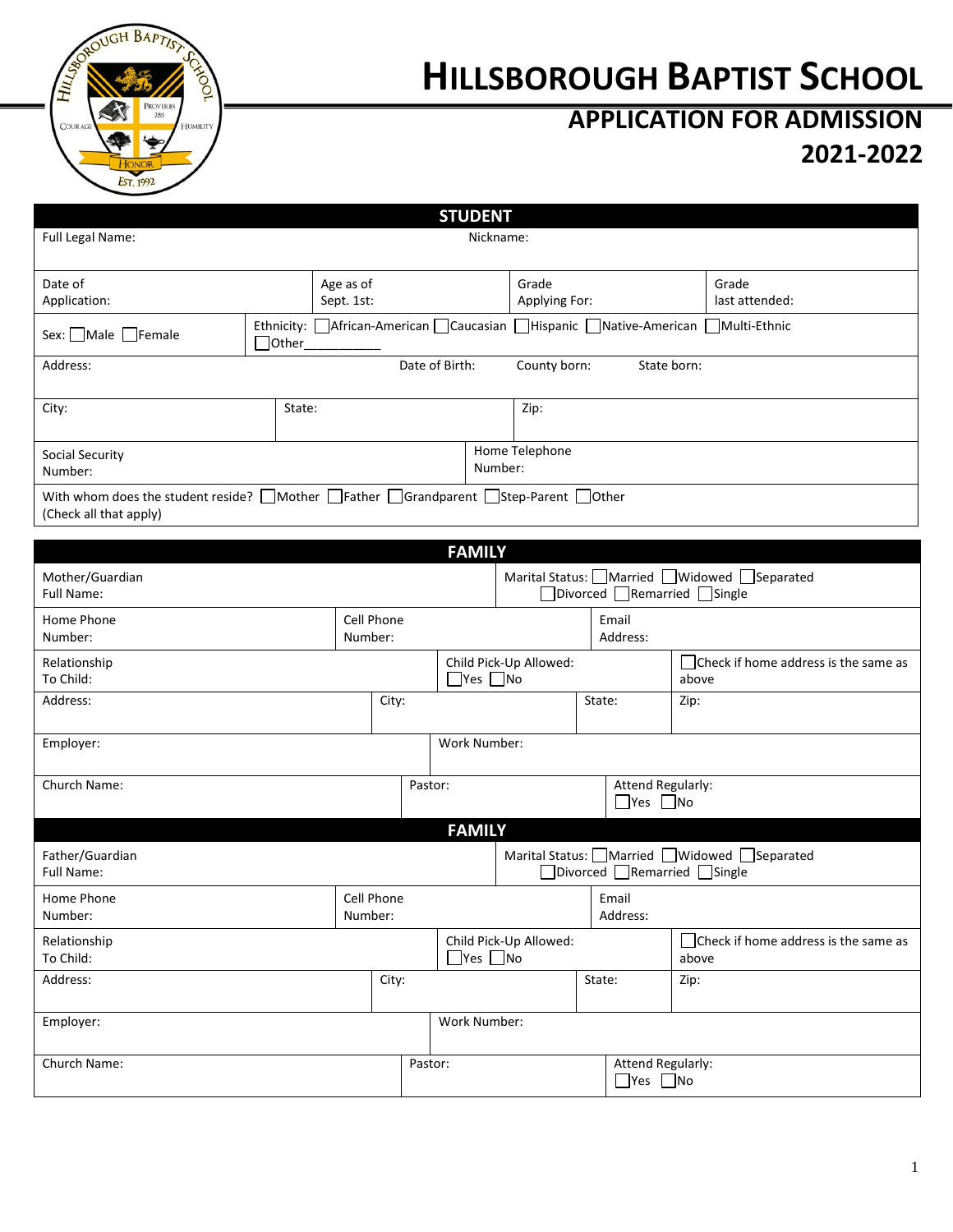

# **HILLSBOROUGH BAPTIST SCHOOL**

# **APPLICATION FOR ADMISSION 2021-2022**

|                                                                                                                                      |                                                                                                |                                                |                      | <b>STUDENT</b>         |                                                                              |        |                                                |                                        |                                           |
|--------------------------------------------------------------------------------------------------------------------------------------|------------------------------------------------------------------------------------------------|------------------------------------------------|----------------------|------------------------|------------------------------------------------------------------------------|--------|------------------------------------------------|----------------------------------------|-------------------------------------------|
| Full Legal Name:                                                                                                                     |                                                                                                |                                                |                      |                        | Nickname:                                                                    |        |                                                |                                        |                                           |
|                                                                                                                                      |                                                                                                |                                                |                      |                        |                                                                              |        |                                                |                                        |                                           |
| Date of                                                                                                                              |                                                                                                | Age as of                                      |                      |                        | Grade                                                                        |        |                                                |                                        | Grade                                     |
| Sept. 1st:<br>Application:                                                                                                           |                                                                                                |                                                |                      | Applying For:          |                                                                              |        |                                                | last attended:                         |                                           |
| Sex: Male Female                                                                                                                     | Ethnicity: African-American Caucasian Hispanic Native-American Multi-Ethnic<br>$\exists$ Other |                                                |                      |                        |                                                                              |        |                                                |                                        |                                           |
| Address:                                                                                                                             |                                                                                                |                                                |                      | Date of Birth:         | County born:                                                                 |        | State born:                                    |                                        |                                           |
| City:                                                                                                                                | State:                                                                                         |                                                |                      |                        | Zip:                                                                         |        |                                                |                                        |                                           |
| Social Security<br>Number:                                                                                                           |                                                                                                |                                                |                      |                        | Home Telephone<br>Number:                                                    |        |                                                |                                        |                                           |
| With whom does the student reside? Mother $\Box$ Father $\Box$ Grandparent $\Box$ Step-Parent $\Box$ Other<br>(Check all that apply) |                                                                                                |                                                |                      |                        |                                                                              |        |                                                |                                        |                                           |
|                                                                                                                                      |                                                                                                |                                                |                      | <b>FAMILY</b>          |                                                                              |        |                                                |                                        |                                           |
|                                                                                                                                      |                                                                                                |                                                |                      |                        |                                                                              |        |                                                |                                        |                                           |
| Mother/Guardian<br>Full Name:                                                                                                        |                                                                                                |                                                |                      |                        | Marital Status: ■Married ■Widowed ■Separated<br>□Divorced ■Remarried ■Single |        |                                                |                                        |                                           |
| <b>Cell Phone</b><br>Home Phone<br>Number:<br>Number:                                                                                |                                                                                                |                                                | Email<br>Address:    |                        |                                                                              |        |                                                |                                        |                                           |
| Relationship<br>To Child:                                                                                                            |                                                                                                | Child Pick-Up Allowed:<br>$\Box$ Yes $\Box$ No |                      | above                  | Check if home address is the same as                                         |        |                                                |                                        |                                           |
| Address:                                                                                                                             |                                                                                                |                                                | City:                |                        |                                                                              | State: |                                                | Zip:                                   |                                           |
| Employer:                                                                                                                            |                                                                                                |                                                |                      | Work Number:           |                                                                              |        |                                                |                                        |                                           |
| Church Name:                                                                                                                         |                                                                                                |                                                |                      | Pastor:                |                                                                              |        | Attend Regularly:<br>$\Box$ Yes $\Box$ No      |                                        |                                           |
|                                                                                                                                      |                                                                                                |                                                |                      | <b>FAMILY</b>          |                                                                              |        |                                                |                                        |                                           |
| Father/Guardian<br>Full Name:                                                                                                        |                                                                                                |                                                |                      |                        |                                                                              |        | $\Box$ Divorced $\Box$ Remarried $\Box$ Single |                                        | Marital Status: Married Müdowed Separated |
| Cell Phone<br>Home Phone<br>Number:<br>Number:                                                                                       |                                                                                                | Email<br>Address:                              |                      |                        |                                                                              |        |                                                |                                        |                                           |
| Relationship<br>To Child:                                                                                                            |                                                                                                |                                                | $\Box$ Yes $\Box$ No | Child Pick-Up Allowed: |                                                                              |        | above                                          | □ Check if home address is the same as |                                           |
| Address:<br>City:                                                                                                                    |                                                                                                |                                                |                      | State:                 |                                                                              | Zip:   |                                                |                                        |                                           |
| Employer:                                                                                                                            |                                                                                                |                                                | Work Number:         |                        |                                                                              |        |                                                |                                        |                                           |
| Church Name:                                                                                                                         |                                                                                                |                                                |                      | Pastor:                |                                                                              |        | Attend Regularly:<br>$\Box$ Yes $\Box$ No      |                                        |                                           |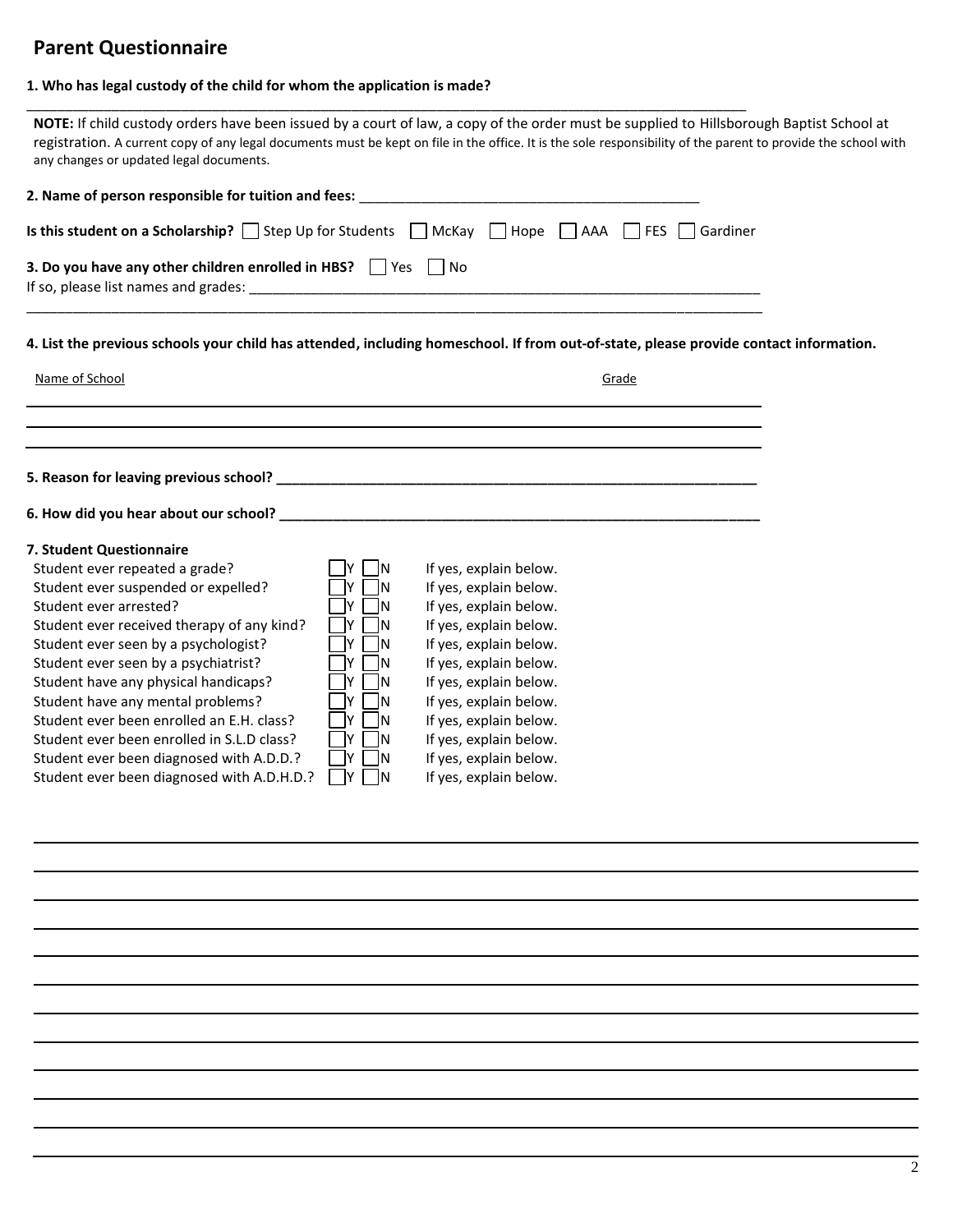### **Parent Questionnaire**

#### **1. Who has legal custody of the child for whom the application is made?**

\_\_\_\_\_\_\_\_\_\_\_\_\_\_\_\_\_\_\_\_\_\_\_\_\_\_\_\_\_\_\_\_\_\_\_\_\_\_\_\_\_\_\_\_\_\_\_\_\_\_\_\_\_\_\_\_\_\_\_\_\_\_\_\_\_\_\_\_\_\_\_\_\_\_\_\_\_\_\_\_\_\_\_\_\_\_\_\_\_\_\_\_\_

| any changes or updated legal documents.                                                                                                                                                                                                                                                                                                                                                                                                                                                                                                                                                                                                                                                                                   | NOTE: If child custody orders have been issued by a court of law, a copy of the order must be supplied to Hillsborough Baptist School at<br>registration. A current copy of any legal documents must be kept on file in the office. It is the sole responsibility of the parent to provide the school with           |
|---------------------------------------------------------------------------------------------------------------------------------------------------------------------------------------------------------------------------------------------------------------------------------------------------------------------------------------------------------------------------------------------------------------------------------------------------------------------------------------------------------------------------------------------------------------------------------------------------------------------------------------------------------------------------------------------------------------------------|----------------------------------------------------------------------------------------------------------------------------------------------------------------------------------------------------------------------------------------------------------------------------------------------------------------------|
|                                                                                                                                                                                                                                                                                                                                                                                                                                                                                                                                                                                                                                                                                                                           |                                                                                                                                                                                                                                                                                                                      |
|                                                                                                                                                                                                                                                                                                                                                                                                                                                                                                                                                                                                                                                                                                                           | <b>Is this student on a Scholarship?</b> Step Up for Students $\Box$ McKay $\Box$ Hope $\Box$ AAA $\Box$ FES $\Box$ Gardiner                                                                                                                                                                                         |
| 3. Do you have any other children enrolled in HBS? $\Box$ Yes $\Box$ No                                                                                                                                                                                                                                                                                                                                                                                                                                                                                                                                                                                                                                                   |                                                                                                                                                                                                                                                                                                                      |
|                                                                                                                                                                                                                                                                                                                                                                                                                                                                                                                                                                                                                                                                                                                           | 4. List the previous schools your child has attended, including homeschool. If from out-of-state, please provide contact information.                                                                                                                                                                                |
| Name of School                                                                                                                                                                                                                                                                                                                                                                                                                                                                                                                                                                                                                                                                                                            | Grade                                                                                                                                                                                                                                                                                                                |
|                                                                                                                                                                                                                                                                                                                                                                                                                                                                                                                                                                                                                                                                                                                           |                                                                                                                                                                                                                                                                                                                      |
|                                                                                                                                                                                                                                                                                                                                                                                                                                                                                                                                                                                                                                                                                                                           |                                                                                                                                                                                                                                                                                                                      |
|                                                                                                                                                                                                                                                                                                                                                                                                                                                                                                                                                                                                                                                                                                                           |                                                                                                                                                                                                                                                                                                                      |
|                                                                                                                                                                                                                                                                                                                                                                                                                                                                                                                                                                                                                                                                                                                           |                                                                                                                                                                                                                                                                                                                      |
| 7. Student Questionnaire<br>Student ever repeated a grade?<br><b>IN</b><br>Student ever suspended or expelled?<br>- IN<br>IY.<br>Student ever arrested?<br>IY.<br>- IN<br>Student ever received therapy of any kind?<br>IY.<br>- IN<br>Student ever seen by a psychologist?<br>ly I<br>- IN<br>Student ever seen by a psychiatrist?<br>- IN<br>IY I<br>Student have any physical handicaps?<br>IY.<br>- IN<br>Student have any mental problems?<br>IY.<br>-IN<br>Student ever been enrolled an E.H. class?<br>İΥ.<br>- IN<br>Student ever been enrolled in S.L.D class?<br><u>IY</u><br>- IN<br>Student ever been diagnosed with A.D.D.?<br><u>IY</u><br>- IN<br>Student ever been diagnosed with A.D.H.D.?<br> Y <br>  N | If yes, explain below.<br>If yes, explain below.<br>If yes, explain below.<br>If yes, explain below.<br>If yes, explain below.<br>If yes, explain below.<br>If yes, explain below.<br>If yes, explain below.<br>If yes, explain below.<br>If yes, explain below.<br>If yes, explain below.<br>If yes, explain below. |
|                                                                                                                                                                                                                                                                                                                                                                                                                                                                                                                                                                                                                                                                                                                           |                                                                                                                                                                                                                                                                                                                      |
|                                                                                                                                                                                                                                                                                                                                                                                                                                                                                                                                                                                                                                                                                                                           |                                                                                                                                                                                                                                                                                                                      |
|                                                                                                                                                                                                                                                                                                                                                                                                                                                                                                                                                                                                                                                                                                                           |                                                                                                                                                                                                                                                                                                                      |
|                                                                                                                                                                                                                                                                                                                                                                                                                                                                                                                                                                                                                                                                                                                           |                                                                                                                                                                                                                                                                                                                      |
|                                                                                                                                                                                                                                                                                                                                                                                                                                                                                                                                                                                                                                                                                                                           |                                                                                                                                                                                                                                                                                                                      |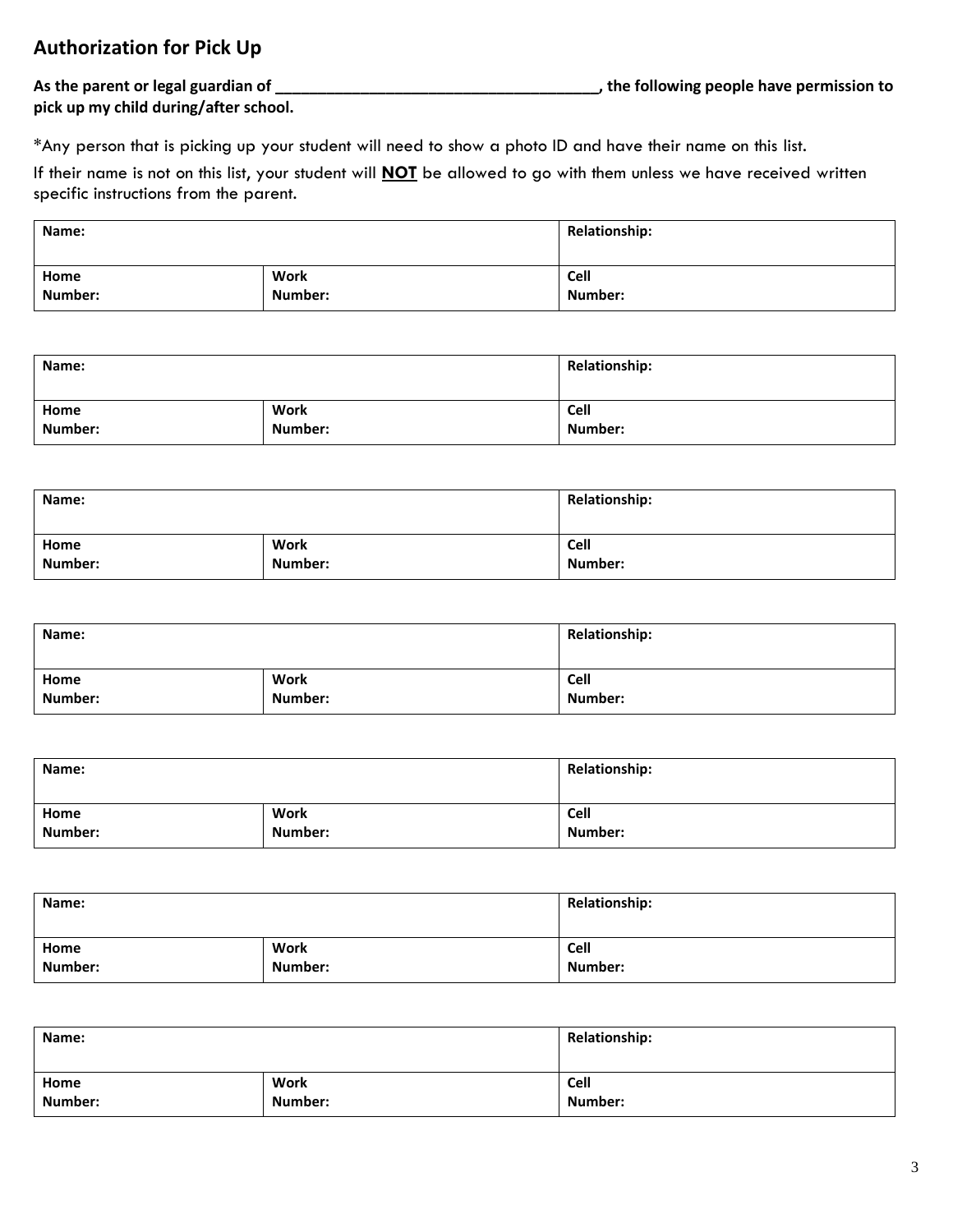### **Authorization for Pick Up**

**As the parent or legal guardian of \_\_\_\_\_\_\_\_\_\_\_\_\_\_\_\_\_\_\_\_\_\_\_\_\_\_\_\_\_\_\_\_\_\_\_\_\_\_, the following people have permission to** 

**pick up my child during/after school.** 

\*Any person that is picking up your student will need to show a photo ID and have their name on this list.

If their name is not on this list, your student will **NOT** be allowed to go with them unless we have received written specific instructions from the parent.

| Name:   |             | <b>Relationship:</b> |
|---------|-------------|----------------------|
| Home    | <b>Work</b> | Cell                 |
| Number: | Number:     | Number:              |

| Name:   |         | <b>Relationship:</b> |  |
|---------|---------|----------------------|--|
| Home    | Work    | Cell                 |  |
| Number: | Number: | Number:              |  |

| Name:   |         | <b>Relationship:</b> |  |
|---------|---------|----------------------|--|
| Home    | Work    | Cell                 |  |
| Number: | Number: | Number:              |  |

| Name:   |         | <b>Relationship:</b> |  |
|---------|---------|----------------------|--|
| Home    | Work    | Cell                 |  |
| Number: | Number: | Number:              |  |

| Name:   |         | <b>Relationship:</b> |
|---------|---------|----------------------|
| Home    | Work    | Cell                 |
| Number: | Number: | Number:              |

| Name:   |             | <b>Relationship:</b> |  |
|---------|-------------|----------------------|--|
| Home    | <b>Work</b> | Cell                 |  |
| Number: | Number:     | Number:              |  |

| Name:   |         | <b>Relationship:</b> |  |
|---------|---------|----------------------|--|
| Home    | Work    | Cell                 |  |
| Number: | Number: | Number:              |  |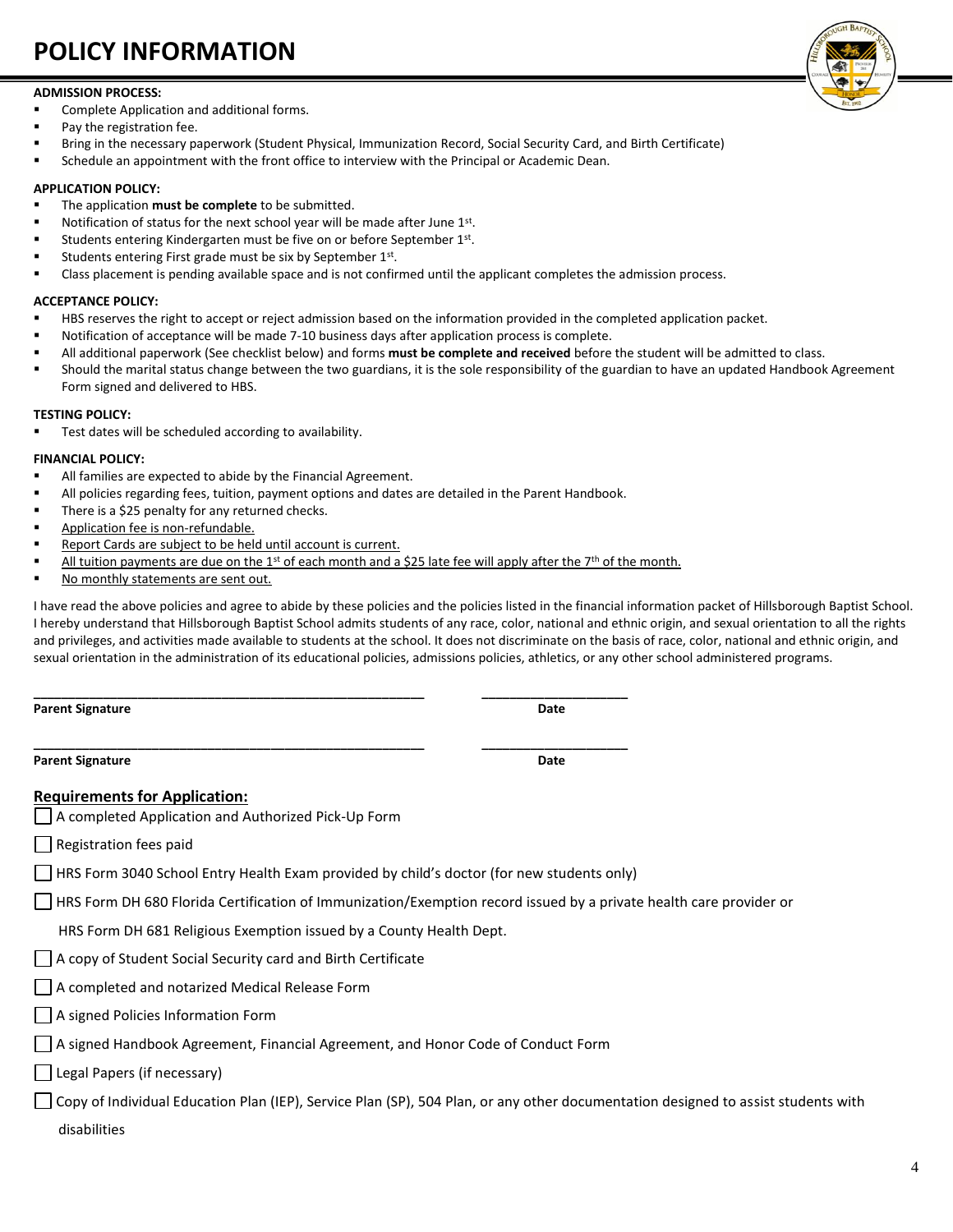# **POLICY INFORMATION**

#### **ADMISSION PROCESS:**

- Complete Application and additional forms.
- Pay the registration fee.
- Bring in the necessary paperwork (Student Physical, Immunization Record, Social Security Card, and Birth Certificate)
- Schedule an appointment with the front office to interview with the Principal or Academic Dean.

#### **APPLICATION POLICY:**

- The application **must be complete** to be submitted.
- Notification of status for the next school year will be made after June 1st.
- Students entering Kindergarten must be five on or before September 1<sup>st</sup>.
- **EXECUTE:** Students entering First grade must be six by September 1st.
- Class placement is pending available space and is not confirmed until the applicant completes the admission process.

#### **ACCEPTANCE POLICY:**

- HBS reserves the right to accept or reject admission based on the information provided in the completed application packet.
- Notification of acceptance will be made 7-10 business days after application process is complete.
- All additional paperwork (See checklist below) and forms **must be complete and received** before the student will be admitted to class.
- Should the marital status change between the two guardians, it is the sole responsibility of the guardian to have an updated Handbook Agreement Form signed and delivered to HBS.

#### **TESTING POLICY:**

Test dates will be scheduled according to availability.

#### **FINANCIAL POLICY:**

- All families are expected to abide by the Financial Agreement.
- All policies regarding fees, tuition, payment options and dates are detailed in the Parent Handbook.

**\_\_\_\_\_\_\_\_\_\_\_\_\_\_\_\_\_\_\_\_\_\_\_\_\_\_\_\_\_\_\_\_\_\_\_\_\_\_\_\_\_\_\_\_\_\_\_\_\_\_\_\_\_\_\_\_ \_\_\_\_\_\_\_\_\_\_\_\_\_\_\_\_\_\_\_\_\_**

- There is a \$25 penalty for any returned checks.
- Application fee is non-refundable.
- Report Cards are subject to be held until account is current.
- All tuition payments are due on the 1st of each month and a \$25 late fee will apply after the 7<sup>th</sup> of the month.
- No monthly statements are sent out.

I have read the above policies and agree to abide by these policies and the policies listed in the financial information packet of Hillsborough Baptist School. I hereby understand that Hillsborough Baptist School admits students of any race, color, national and ethnic origin, and sexual orientation to all the rights and privileges, and activities made available to students at the school. It does not discriminate on the basis of race, color, national and ethnic origin, and sexual orientation in the administration of its educational policies, admissions policies, athletics, or any other school administered programs.

**Parent Signature Date**

**Parent Signature Date**

#### **Requirements for Application:**

A completed Application and Authorized Pick-Up Form

| Registration fees paid

 $\Box$  HRS Form 3040 School Entry Health Exam provided by child's doctor (for new students only)

 $\Box$  HRS Form DH 680 Florida Certification of Immunization/Exemption record issued by a private health care provider or

HRS Form DH 681 Religious Exemption issued by a County Health Dept.

- A copy of Student Social Security card and Birth Certificate
- | A completed and notarized Medical Release Form
- A signed Policies Information Form
- A signed Handbook Agreement, Financial Agreement, and Honor Code of Conduct Form
- Legal Papers (if necessary)

 $\Box$  Copy of Individual Education Plan (IEP), Service Plan (SP), 504 Plan, or any other documentation designed to assist students with disabilities



**\_\_\_\_\_\_\_\_\_\_\_\_\_\_\_\_\_\_\_\_\_\_\_\_\_\_\_\_\_\_\_\_\_\_\_\_\_\_\_\_\_\_\_\_\_\_\_\_\_\_\_\_\_\_\_\_ \_\_\_\_\_\_\_\_\_\_\_\_\_\_\_\_\_\_\_\_\_**